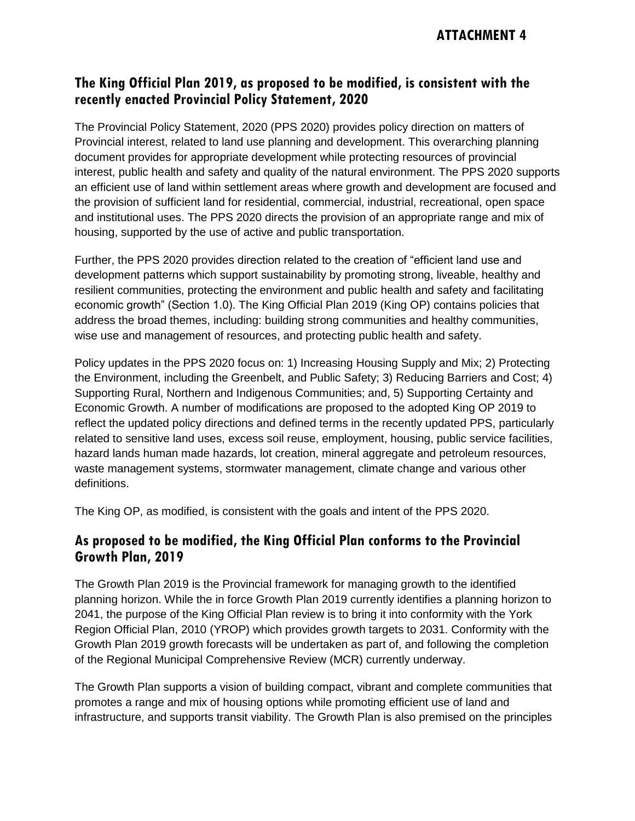#### **The King Official Plan 2019, as proposed to be modified, is consistent with the recently enacted Provincial Policy Statement, 2020**

The Provincial Policy Statement, 2020 (PPS 2020) provides policy direction on matters of Provincial interest, related to land use planning and development. This overarching planning document provides for appropriate development while protecting resources of provincial interest, public health and safety and quality of the natural environment. The PPS 2020 supports an efficient use of land within settlement areas where growth and development are focused and the provision of sufficient land for residential, commercial, industrial, recreational, open space and institutional uses. The PPS 2020 directs the provision of an appropriate range and mix of housing, supported by the use of active and public transportation.

Further, the PPS 2020 provides direction related to the creation of "efficient land use and development patterns which support sustainability by promoting strong, liveable, healthy and resilient communities, protecting the environment and public health and safety and facilitating economic growth" (Section 1.0). The King Official Plan 2019 (King OP) contains policies that address the broad themes, including: building strong communities and healthy communities, wise use and management of resources, and protecting public health and safety.

Policy updates in the PPS 2020 focus on: 1) Increasing Housing Supply and Mix; 2) Protecting the Environment, including the Greenbelt, and Public Safety; 3) Reducing Barriers and Cost; 4) Supporting Rural, Northern and Indigenous Communities; and, 5) Supporting Certainty and Economic Growth. A number of modifications are proposed to the adopted King OP 2019 to reflect the updated policy directions and defined terms in the recently updated PPS, particularly related to sensitive land uses, excess soil reuse, employment, housing, public service facilities, hazard lands human made hazards, lot creation, mineral aggregate and petroleum resources, waste management systems, stormwater management, climate change and various other definitions.

The King OP, as modified, is consistent with the goals and intent of the PPS 2020.

#### **As proposed to be modified, the King Official Plan conforms to the Provincial Growth Plan, 2019**

The Growth Plan 2019 is the Provincial framework for managing growth to the identified planning horizon. While the in force Growth Plan 2019 currently identifies a planning horizon to 2041, the purpose of the King Official Plan review is to bring it into conformity with the York Region Official Plan, 2010 (YROP) which provides growth targets to 2031. Conformity with the Growth Plan 2019 growth forecasts will be undertaken as part of, and following the completion of the Regional Municipal Comprehensive Review (MCR) currently underway.

The Growth Plan supports a vision of building compact, vibrant and complete communities that promotes a range and mix of housing options while promoting efficient use of land and infrastructure, and supports transit viability. The Growth Plan is also premised on the principles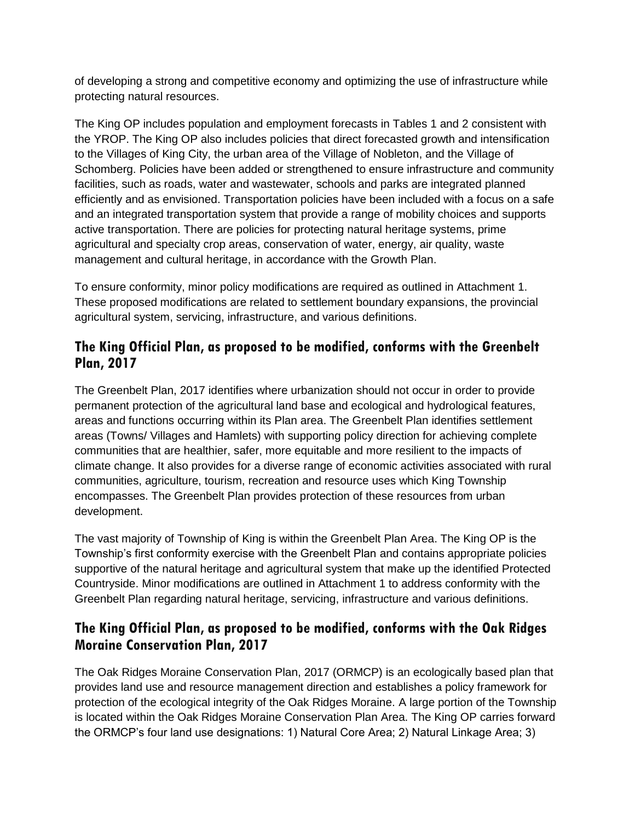of developing a strong and competitive economy and optimizing the use of infrastructure while protecting natural resources.

The King OP includes population and employment forecasts in Tables 1 and 2 consistent with the YROP. The King OP also includes policies that direct forecasted growth and intensification to the Villages of King City, the urban area of the Village of Nobleton, and the Village of Schomberg. Policies have been added or strengthened to ensure infrastructure and community facilities, such as roads, water and wastewater, schools and parks are integrated planned efficiently and as envisioned. Transportation policies have been included with a focus on a safe and an integrated transportation system that provide a range of mobility choices and supports active transportation. There are policies for protecting natural heritage systems, prime agricultural and specialty crop areas, conservation of water, energy, air quality, waste management and cultural heritage, in accordance with the Growth Plan.

To ensure conformity, minor policy modifications are required as outlined in Attachment 1. These proposed modifications are related to settlement boundary expansions, the provincial agricultural system, servicing, infrastructure, and various definitions.

# **The King Official Plan, as proposed to be modified, conforms with the Greenbelt Plan, 2017**

The Greenbelt Plan, 2017 identifies where urbanization should not occur in order to provide permanent protection of the agricultural land base and ecological and hydrological features, areas and functions occurring within its Plan area. The Greenbelt Plan identifies settlement areas (Towns/ Villages and Hamlets) with supporting policy direction for achieving complete communities that are healthier, safer, more equitable and more resilient to the impacts of climate change. It also provides for a diverse range of economic activities associated with rural communities, agriculture, tourism, recreation and resource uses which King Township encompasses. The Greenbelt Plan provides protection of these resources from urban development.

The vast majority of Township of King is within the Greenbelt Plan Area. The King OP is the Township's first conformity exercise with the Greenbelt Plan and contains appropriate policies supportive of the natural heritage and agricultural system that make up the identified Protected Countryside. Minor modifications are outlined in Attachment 1 to address conformity with the Greenbelt Plan regarding natural heritage, servicing, infrastructure and various definitions.

## **The King Official Plan, as proposed to be modified, conforms with the Oak Ridges Moraine Conservation Plan, 2017**

The Oak Ridges Moraine Conservation Plan, 2017 (ORMCP) is an ecologically based plan that provides land use and resource management direction and establishes a policy framework for protection of the ecological integrity of the Oak Ridges Moraine. A large portion of the Township is located within the Oak Ridges Moraine Conservation Plan Area. The King OP carries forward the ORMCP's four land use designations: 1) Natural Core Area; 2) Natural Linkage Area; 3)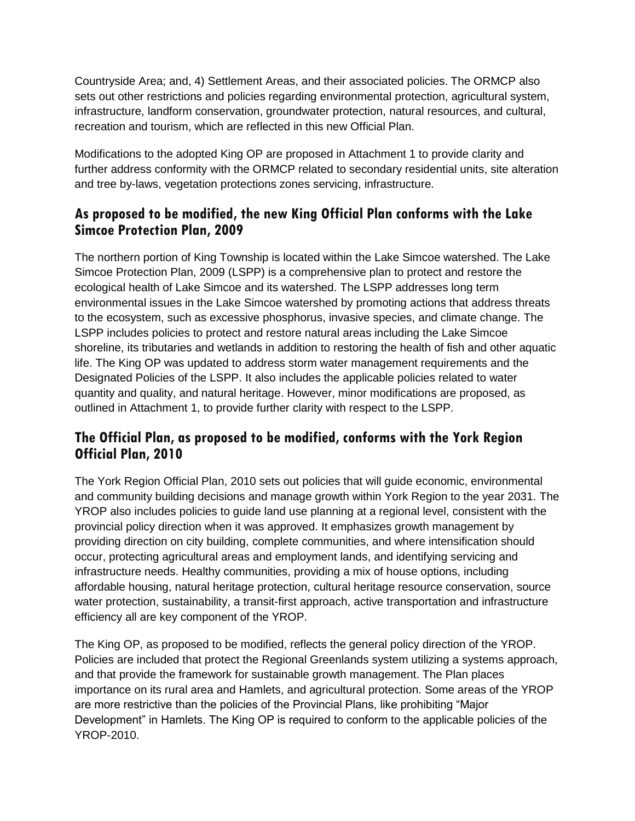Countryside Area; and, 4) Settlement Areas, and their associated policies. The ORMCP also sets out other restrictions and policies regarding environmental protection, agricultural system, infrastructure, landform conservation, groundwater protection, natural resources, and cultural, recreation and tourism, which are reflected in this new Official Plan.

Modifications to the adopted King OP are proposed in Attachment 1 to provide clarity and further address conformity with the ORMCP related to secondary residential units, site alteration and tree by-laws, vegetation protections zones servicing, infrastructure.

## **As proposed to be modified, the new King Official Plan conforms with the Lake Simcoe Protection Plan, 2009**

The northern portion of King Township is located within the Lake Simcoe watershed. The Lake Simcoe Protection Plan, 2009 (LSPP) is a comprehensive plan to protect and restore the ecological health of Lake Simcoe and its watershed. The LSPP addresses long term environmental issues in the Lake Simcoe watershed by promoting actions that address threats to the ecosystem, such as excessive phosphorus, invasive species, and climate change. The LSPP includes policies to protect and restore natural areas including the Lake Simcoe shoreline, its tributaries and wetlands in addition to restoring the health of fish and other aquatic life. The King OP was updated to address storm water management requirements and the Designated Policies of the LSPP. It also includes the applicable policies related to water quantity and quality, and natural heritage. However, minor modifications are proposed, as outlined in Attachment 1, to provide further clarity with respect to the LSPP.

### **The Official Plan, as proposed to be modified, conforms with the York Region Official Plan, 2010**

The York Region Official Plan, 2010 sets out policies that will guide economic, environmental and community building decisions and manage growth within York Region to the year 2031. The YROP also includes policies to guide land use planning at a regional level, consistent with the provincial policy direction when it was approved. It emphasizes growth management by providing direction on city building, complete communities, and where intensification should occur, protecting agricultural areas and employment lands, and identifying servicing and infrastructure needs. Healthy communities, providing a mix of house options, including affordable housing, natural heritage protection, cultural heritage resource conservation, source water protection, sustainability, a transit-first approach, active transportation and infrastructure efficiency all are key component of the YROP.

The King OP, as proposed to be modified, reflects the general policy direction of the YROP. Policies are included that protect the Regional Greenlands system utilizing a systems approach, and that provide the framework for sustainable growth management. The Plan places importance on its rural area and Hamlets, and agricultural protection. Some areas of the YROP are more restrictive than the policies of the Provincial Plans, like prohibiting "Major Development" in Hamlets. The King OP is required to conform to the applicable policies of the YROP-2010.